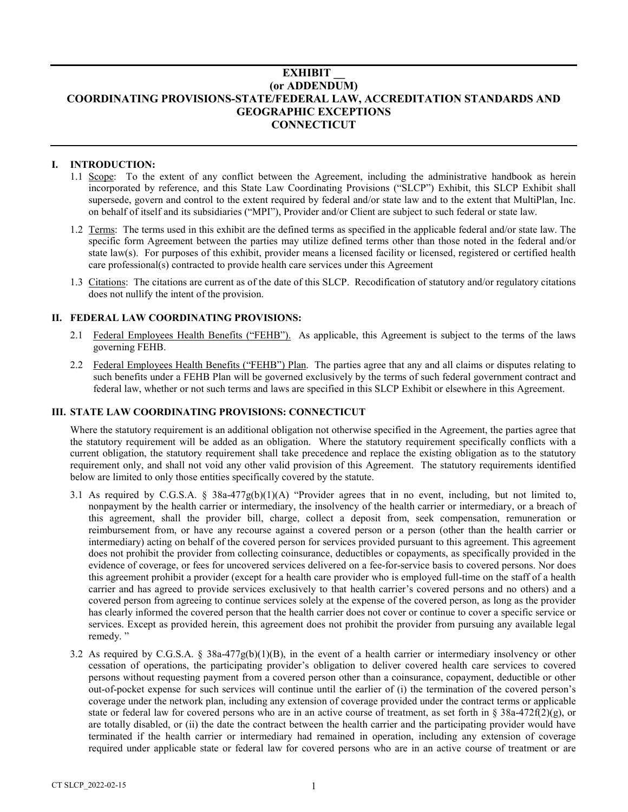# **EXHIBIT \_\_ (or ADDENDUM) COORDINATING PROVISIONS-STATE/FEDERAL LAW, ACCREDITATION STANDARDS AND GEOGRAPHIC EXCEPTIONS CONNECTICUT**

### **I. INTRODUCTION:**

- 1.1 Scope: To the extent of any conflict between the Agreement, including the administrative handbook as herein incorporated by reference, and this State Law Coordinating Provisions ("SLCP") Exhibit, this SLCP Exhibit shall supersede, govern and control to the extent required by federal and/or state law and to the extent that MultiPlan, Inc. on behalf of itself and its subsidiaries ("MPI"), Provider and/or Client are subject to such federal or state law.
- 1.2 Terms: The terms used in this exhibit are the defined terms as specified in the applicable federal and/or state law. The specific form Agreement between the parties may utilize defined terms other than those noted in the federal and/or state law(s). For purposes of this exhibit, provider means a licensed facility or licensed, registered or certified health care professional(s) contracted to provide health care services under this Agreement
- 1.3 Citations: The citations are current as of the date of this SLCP. Recodification of statutory and/or regulatory citations does not nullify the intent of the provision.

## **II. FEDERAL LAW COORDINATING PROVISIONS:**

- 2.1 Federal Employees Health Benefits ("FEHB"). As applicable, this Agreement is subject to the terms of the laws governing FEHB.
- 2.2 Federal Employees Health Benefits ("FEHB") Plan. The parties agree that any and all claims or disputes relating to such benefits under a FEHB Plan will be governed exclusively by the terms of such federal government contract and federal law, whether or not such terms and laws are specified in this SLCP Exhibit or elsewhere in this Agreement.

### **III. STATE LAW COORDINATING PROVISIONS: CONNECTICUT**

Where the statutory requirement is an additional obligation not otherwise specified in the Agreement, the parties agree that the statutory requirement will be added as an obligation. Where the statutory requirement specifically conflicts with a current obligation, the statutory requirement shall take precedence and replace the existing obligation as to the statutory requirement only, and shall not void any other valid provision of this Agreement. The statutory requirements identified below are limited to only those entities specifically covered by the statute.

- 3.1 As required by C.G.S.A. § 38a-477g(b)(1)(A) "Provider agrees that in no event, including, but not limited to, nonpayment by the health carrier or intermediary, the insolvency of the health carrier or intermediary, or a breach of this agreement, shall the provider bill, charge, collect a deposit from, seek compensation, remuneration or reimbursement from, or have any recourse against a covered person or a person (other than the health carrier or intermediary) acting on behalf of the covered person for services provided pursuant to this agreement. This agreement does not prohibit the provider from collecting coinsurance, deductibles or copayments, as specifically provided in the evidence of coverage, or fees for uncovered services delivered on a fee-for-service basis to covered persons. Nor does this agreement prohibit a provider (except for a health care provider who is employed full-time on the staff of a health carrier and has agreed to provide services exclusively to that health carrier's covered persons and no others) and a covered person from agreeing to continue services solely at the expense of the covered person, as long as the provider has clearly informed the covered person that the health carrier does not cover or continue to cover a specific service or services. Except as provided herein, this agreement does not prohibit the provider from pursuing any available legal remedy."
- 3.2 As required by C.G.S.A. § 38a-477g(b)(1)(B), in the event of a health carrier or intermediary insolvency or other cessation of operations, the participating provider's obligation to deliver covered health care services to covered persons without requesting payment from a covered person other than a coinsurance, copayment, deductible or other out-of-pocket expense for such services will continue until the earlier of (i) the termination of the covered person's coverage under the network plan, including any extension of coverage provided under the contract terms or applicable state or federal law for covered persons who are in an active course of treatment, as set forth in § 38a-472f(2)(g), or are totally disabled, or (ii) the date the contract between the health carrier and the participating provider would have terminated if the health carrier or intermediary had remained in operation, including any extension of coverage required under applicable state or federal law for covered persons who are in an active course of treatment or are